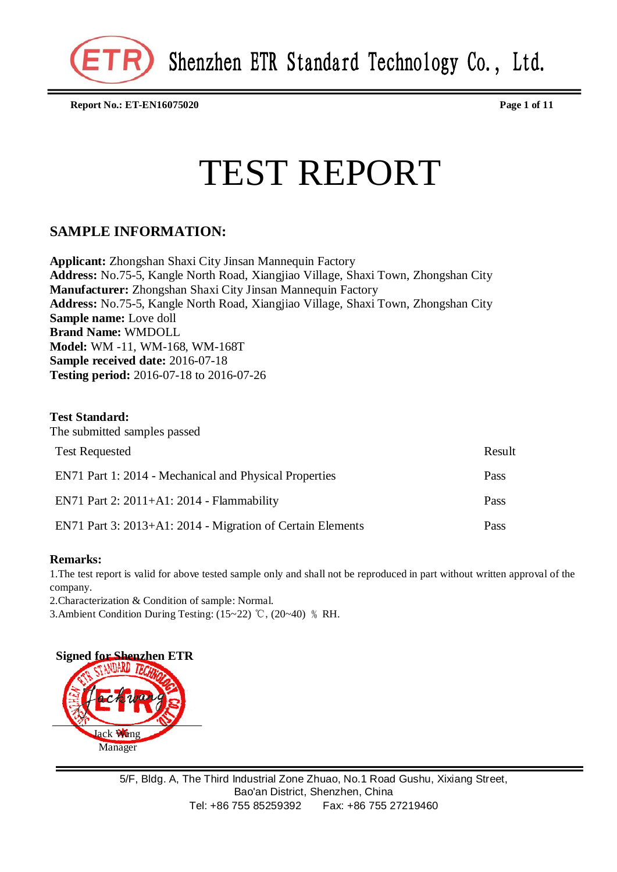**Report No.: ET-EN16075020 Page 1 of 11**

# TEST REPORT

### **SAMPLE INFORMATION:**

**Applicant:** Zhongshan Shaxi City Jinsan Mannequin Factory **Address:** No.75-5, Kangle North Road, Xiangjiao Village, Shaxi Town, Zhongshan City **Manufacturer:** Zhongshan Shaxi City Jinsan Mannequin Factory **Address:** No.75-5, Kangle North Road, Xiangjiao Village, Shaxi Town, Zhongshan City **Sample name:** Love doll **Brand Name:** WMDOLL **Model:** WM -11, WM-168, WM-168T **Sample received date:** 2016-07-18 **Testing period:** 2016-07-18 to 2016-07-26

#### **Test Standard:**

| The submitted samples passed                               |        |  |  |
|------------------------------------------------------------|--------|--|--|
| <b>Test Requested</b>                                      | Result |  |  |
| EN71 Part 1: 2014 - Mechanical and Physical Properties     | Pass   |  |  |
| EN71 Part 2: $2011+A1:2014$ - Flammability                 | Pass   |  |  |
| EN71 Part 3: 2013+A1: 2014 - Migration of Certain Elements | Pass   |  |  |

#### **Remarks:**

1.The test report is valid for above tested sample only and shall not be reproduced in part without written approval of the company.

2.Characterization & Condition of sample: Normal.

3.Ambient Condition During Testing: (15∼22) ℃, (20∼40) % RH.

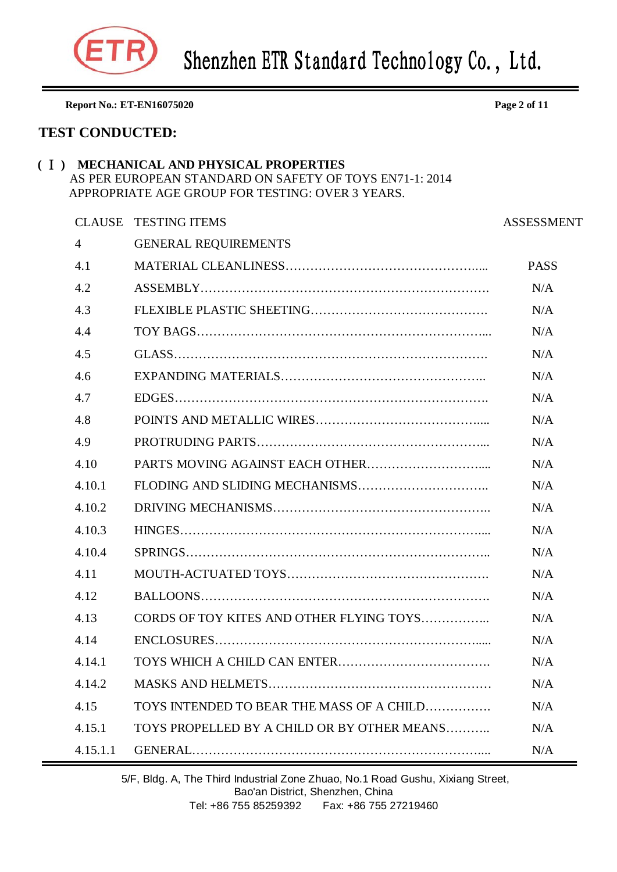

**Report No.: ET-EN16075020 Page 2 of 11 TEST CONDUCTED: (** Ⅰ **) MECHANICAL AND PHYSICAL PROPERTIES** AS PER EUROPEAN STANDARD ON SAFETY OF TOYS EN71-1: 2014 APPROPRIATE AGE GROUP FOR TESTING: OVER 3 YEARS. CLAUSE TESTING ITEMS ASSESSMENT 4 GENERAL REQUIREMENTS 4.1 MATERIAL CLEANLINESS………………………………………….. PASS 4.2 ASSEMBLY……………………………………………………………. N/A 4.3 FLEXIBLE PLASTIC SHEETING……………………………………. N/A 4.4 TOY BAGS……………………………………………………………... N/A 4.5 GLASS…………………………………………………………………. N/A 4.6 EXPANDING MATERIALS………………………………………….. N/A 4.7 EDGES…………………………………………………………………. N/A 4.8 POINTS AND METALLIC WIRES………………………………….... N/A 4.9 PROTRUDING PARTS………………………………………………... N/A 4.10 PARTS MOVING AGAINST EACH OTHER……………………….... N/A 4.10.1 FLODING AND SLIDING MECHANISMS………………………….. N/A 4.10.2 DRIVING MECHANISMS…………………………………………….. N/A 4.10.3 HINGES……………………………………………………………….... N/A 4.10.4 SPRINGS……………………………………………………………….. N/A 4.11 MOUTH-ACTUATED TOYS…………………………………………. N/A 4.12 BALLOONS……………………………………………………………. N/A 4.13 CORDS OF TOY KITES AND OTHER FLYING TOYS…………….. N/A 4.14 ENCLOSURES………………………………………………………..... N/A 4.14.1 TOYS WHICH A CHILD CAN ENTER………………………………. N/A 4.14.2 MASKS AND HELMETS……………………………………………… N/A 4.15 TOYS INTENDED TO BEAR THE MASS OF A CHILD……………. N/A 4.15.1 TOYS PROPELLED BY A CHILD OR BY OTHER MEANS……….. N/A

4.15.1.1 GENERAL…………………………………………………………….... N/A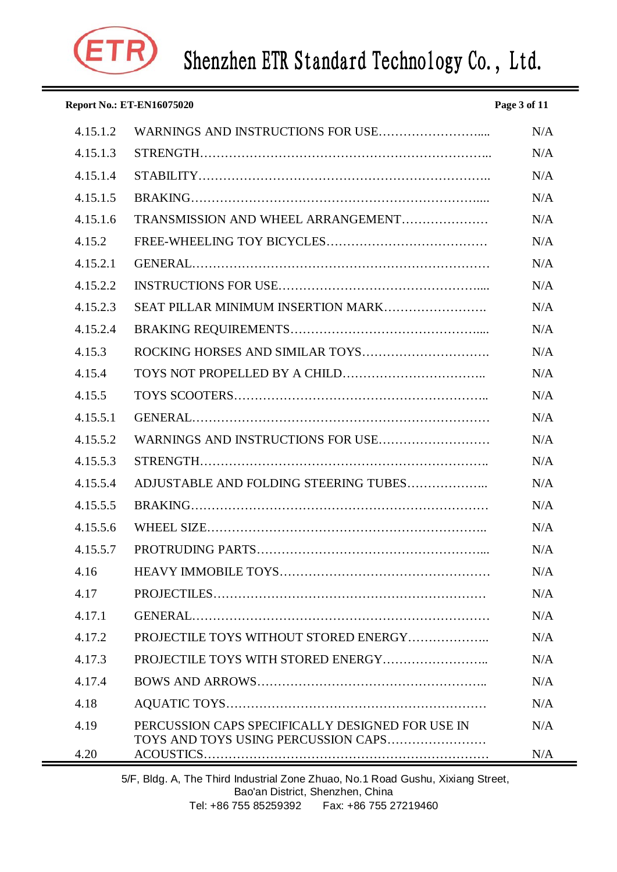

| <b>Report No.: ET-EN16075020</b><br>Page 3 of 11 |                                                                                         |     |
|--------------------------------------------------|-----------------------------------------------------------------------------------------|-----|
| 4.15.1.2                                         |                                                                                         | N/A |
| 4.15.1.3                                         |                                                                                         | N/A |
| 4.15.1.4                                         |                                                                                         | N/A |
| 4.15.1.5                                         |                                                                                         | N/A |
| 4.15.1.6                                         | TRANSMISSION AND WHEEL ARRANGEMENT                                                      | N/A |
| 4.15.2                                           |                                                                                         | N/A |
| 4.15.2.1                                         |                                                                                         | N/A |
| 4.15.2.2                                         |                                                                                         | N/A |
| 4.15.2.3                                         | SEAT PILLAR MINIMUM INSERTION MARK                                                      | N/A |
| 4.15.2.4                                         |                                                                                         | N/A |
| 4.15.3                                           |                                                                                         | N/A |
| 4.15.4                                           |                                                                                         | N/A |
| 4.15.5                                           |                                                                                         | N/A |
| 4.15.5.1                                         |                                                                                         | N/A |
| 4.15.5.2                                         |                                                                                         | N/A |
| 4.15.5.3                                         |                                                                                         | N/A |
| 4.15.5.4                                         | ADJUSTABLE AND FOLDING STEERING TUBES                                                   | N/A |
| 4.15.5.5                                         |                                                                                         | N/A |
| 4.15.5.6                                         |                                                                                         | N/A |
| 4.15.5.7                                         |                                                                                         | N/A |
| 4.16                                             |                                                                                         | N/A |
| 4.17                                             |                                                                                         | N/A |
| 4.17.1                                           |                                                                                         | N/A |
| 4.17.2                                           | PROJECTILE TOYS WITHOUT STORED ENERGY                                                   | N/A |
| 4.17.3                                           |                                                                                         | N/A |
| 4.17.4                                           |                                                                                         | N/A |
| 4.18                                             |                                                                                         | N/A |
| 4.19                                             | PERCUSSION CAPS SPECIFICALLY DESIGNED FOR USE IN<br>TOYS AND TOYS USING PERCUSSION CAPS | N/A |
| 4.20                                             |                                                                                         | N/A |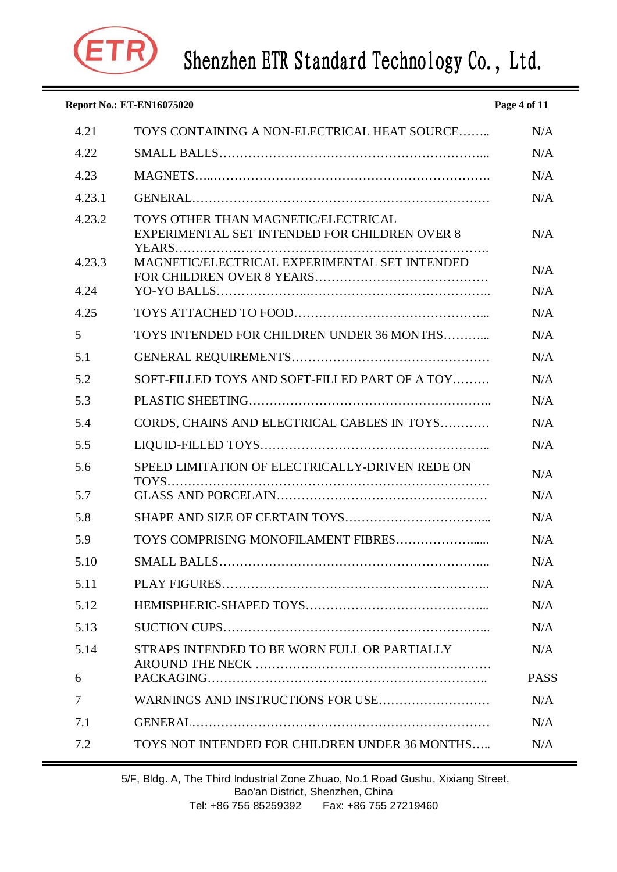

| <b>Report No.: ET-EN16075020</b><br>Page 4 of 11 |                                                                                      |             |  |  |
|--------------------------------------------------|--------------------------------------------------------------------------------------|-------------|--|--|
| 4.21                                             | TOYS CONTAINING A NON-ELECTRICAL HEAT SOURCE                                         | N/A         |  |  |
| 4.22                                             |                                                                                      | N/A         |  |  |
| 4.23                                             |                                                                                      | N/A         |  |  |
| 4.23.1                                           |                                                                                      | N/A         |  |  |
| 4.23.2                                           | TOYS OTHER THAN MAGNETIC/ELECTRICAL<br>EXPERIMENTAL SET INTENDED FOR CHILDREN OVER 8 | N/A         |  |  |
| 4.23.3                                           | MAGNETIC/ELECTRICAL EXPERIMENTAL SET INTENDED                                        | N/A         |  |  |
| 4.24                                             |                                                                                      | N/A         |  |  |
| 4.25                                             |                                                                                      | N/A         |  |  |
| 5                                                | TOYS INTENDED FOR CHILDREN UNDER 36 MONTHS                                           | N/A         |  |  |
| 5.1                                              |                                                                                      | N/A         |  |  |
| 5.2                                              | SOFT-FILLED TOYS AND SOFT-FILLED PART OF A TOY                                       | N/A         |  |  |
| 5.3                                              |                                                                                      | N/A         |  |  |
| 5.4                                              | CORDS, CHAINS AND ELECTRICAL CABLES IN TOYS                                          | N/A         |  |  |
| 5.5                                              |                                                                                      | N/A         |  |  |
| 5.6                                              | SPEED LIMITATION OF ELECTRICALLY-DRIVEN REDE ON                                      | N/A         |  |  |
| 5.7                                              | $TOYS$                                                                               | N/A         |  |  |
| 5.8                                              |                                                                                      | N/A         |  |  |
| 5.9                                              | TOYS COMPRISING MONOFILAMENT FIBRES                                                  | N/A         |  |  |
| 5.10                                             |                                                                                      | N/A         |  |  |
| 5.11                                             |                                                                                      | N/A         |  |  |
| 5.12                                             |                                                                                      | N/A         |  |  |
| 5.13                                             |                                                                                      | N/A         |  |  |
| 5.14                                             | STRAPS INTENDED TO BE WORN FULL OR PARTIALLY                                         | N/A         |  |  |
| 6                                                |                                                                                      | <b>PASS</b> |  |  |
| 7                                                | WARNINGS AND INSTRUCTIONS FOR USE                                                    | N/A         |  |  |
| 7.1                                              |                                                                                      | N/A         |  |  |
| 7.2                                              | TOYS NOT INTENDED FOR CHILDREN UNDER 36 MONTHS                                       | N/A         |  |  |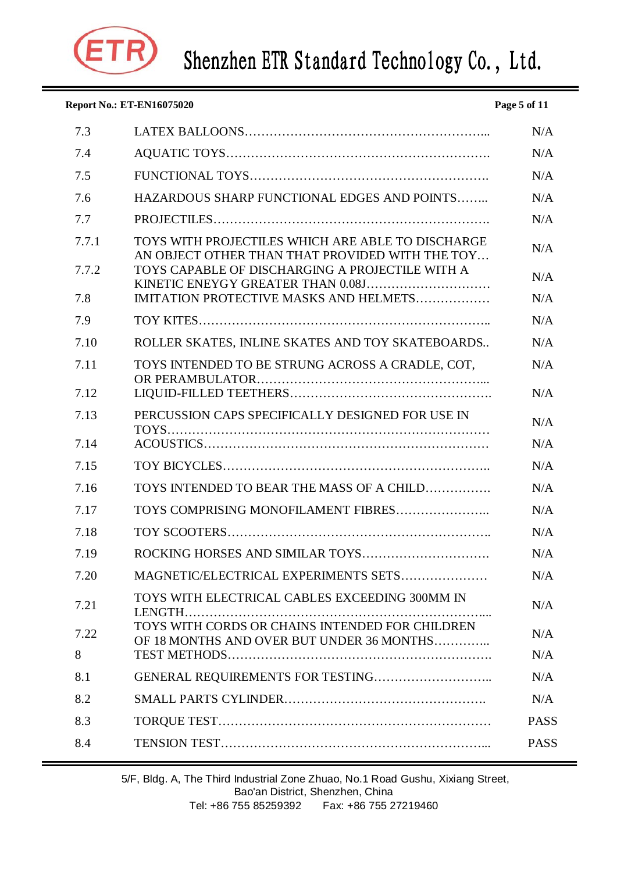

|       | <b>Report No.: ET-EN16075020</b>                                                                     | Page 5 of 11 |
|-------|------------------------------------------------------------------------------------------------------|--------------|
| 7.3   |                                                                                                      | N/A          |
| 7.4   |                                                                                                      | N/A          |
| 7.5   |                                                                                                      | N/A          |
| 7.6   | HAZARDOUS SHARP FUNCTIONAL EDGES AND POINTS                                                          | N/A          |
| 7.7   |                                                                                                      | N/A          |
| 7.7.1 | TOYS WITH PROJECTILES WHICH ARE ABLE TO DISCHARGE<br>AN OBJECT OTHER THAN THAT PROVIDED WITH THE TOY | N/A          |
| 7.7.2 | TOYS CAPABLE OF DISCHARGING A PROJECTILE WITH A                                                      | N/A          |
| 7.8   | IMITATION PROTECTIVE MASKS AND HELMETS                                                               | N/A          |
| 7.9   |                                                                                                      | N/A          |
| 7.10  | ROLLER SKATES, INLINE SKATES AND TOY SKATEBOARDS                                                     | N/A          |
| 7.11  | TOYS INTENDED TO BE STRUNG ACROSS A CRADLE, COT,                                                     | N/A          |
| 7.12  |                                                                                                      | N/A          |
| 7.13  | PERCUSSION CAPS SPECIFICALLY DESIGNED FOR USE IN                                                     | N/A          |
| 7.14  |                                                                                                      | N/A          |
| 7.15  |                                                                                                      | N/A          |
| 7.16  | TOYS INTENDED TO BEAR THE MASS OF A CHILD                                                            | N/A          |
| 7.17  |                                                                                                      | N/A          |
| 7.18  |                                                                                                      | N/A          |
| 7.19  |                                                                                                      | N/A          |
| 7.20  | MAGNETIC/ELECTRICAL EXPERIMENTS SETS                                                                 | N/A          |
| 7.21  | TOYS WITH ELECTRICAL CABLES EXCEEDING 300MM IN                                                       | N/A          |
| 7.22  | TOYS WITH CORDS OR CHAINS INTENDED FOR CHILDREN<br>OF 18 MONTHS AND OVER BUT UNDER 36 MONTHS         | N/A          |
| 8     |                                                                                                      | N/A          |
| 8.1   |                                                                                                      | N/A          |
| 8.2   |                                                                                                      | N/A          |
| 8.3   |                                                                                                      | <b>PASS</b>  |
| 8.4   |                                                                                                      | <b>PASS</b>  |

5/F, Bldg. A, The Third Industrial Zone Zhuao, No.1 Road Gushu, Xixiang Street, Bao'an District, Shenzhen, China Tel: +86 755 85259392 Fax: +86 755 27219460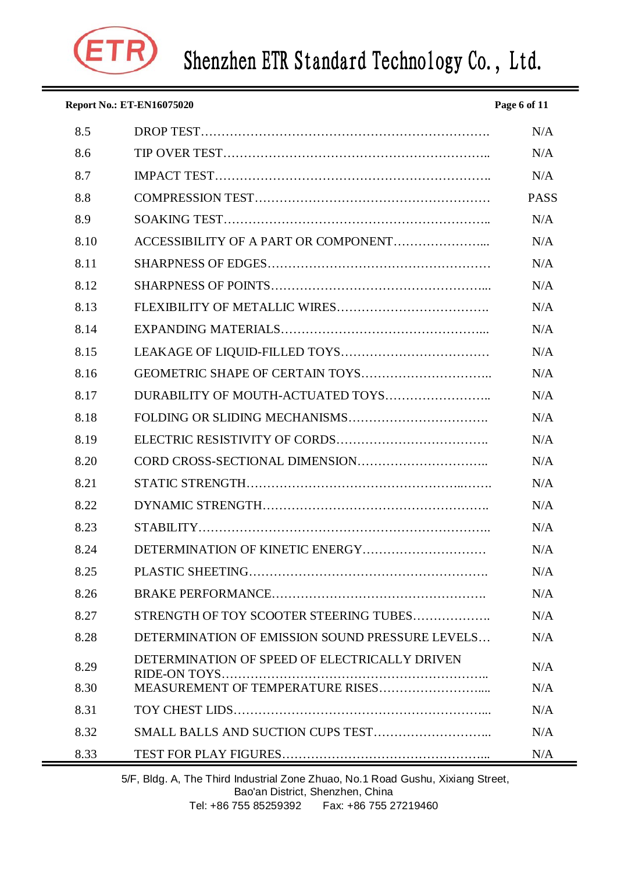

| <b>Report No.: ET-EN16075020</b><br>Page 6 of 11 |                                                 |             |  |  |
|--------------------------------------------------|-------------------------------------------------|-------------|--|--|
| 8.5                                              |                                                 | N/A         |  |  |
| 8.6                                              |                                                 | N/A         |  |  |
| 8.7                                              |                                                 | N/A         |  |  |
| 8.8                                              |                                                 | <b>PASS</b> |  |  |
| 8.9                                              |                                                 | N/A         |  |  |
| 8.10                                             |                                                 | N/A         |  |  |
| 8.11                                             |                                                 | N/A         |  |  |
| 8.12                                             |                                                 | N/A         |  |  |
| 8.13                                             |                                                 | N/A         |  |  |
| 8.14                                             |                                                 | N/A         |  |  |
| 8.15                                             |                                                 | N/A         |  |  |
| 8.16                                             |                                                 | N/A         |  |  |
| 8.17                                             |                                                 | N/A         |  |  |
| 8.18                                             |                                                 | N/A         |  |  |
| 8.19                                             |                                                 | N/A         |  |  |
| 8.20                                             |                                                 | N/A         |  |  |
| 8.21                                             |                                                 | N/A         |  |  |
| 8.22                                             |                                                 | N/A         |  |  |
| 8.23                                             |                                                 | N/A         |  |  |
| 8.24                                             | DETERMINATION OF KINETIC ENERGY                 | N/A         |  |  |
| 8.25                                             |                                                 | N/A         |  |  |
| 8.26                                             |                                                 | N/A         |  |  |
| 8.27                                             | STRENGTH OF TOY SCOOTER STEERING TUBES          | N/A         |  |  |
| 8.28                                             | DETERMINATION OF EMISSION SOUND PRESSURE LEVELS | N/A         |  |  |
| 8.29                                             | DETERMINATION OF SPEED OF ELECTRICALLY DRIVEN   | N/A         |  |  |
| 8.30                                             |                                                 | N/A         |  |  |
| 8.31                                             |                                                 | N/A         |  |  |
| 8.32                                             |                                                 | N/A         |  |  |
| 8.33                                             |                                                 | N/A         |  |  |

5/F, Bldg. A, The Third Industrial Zone Zhuao, No.1 Road Gushu, Xixiang Street, Bao'an District, Shenzhen, China Tel: +86 755 85259392 Fax: +86 755 27219460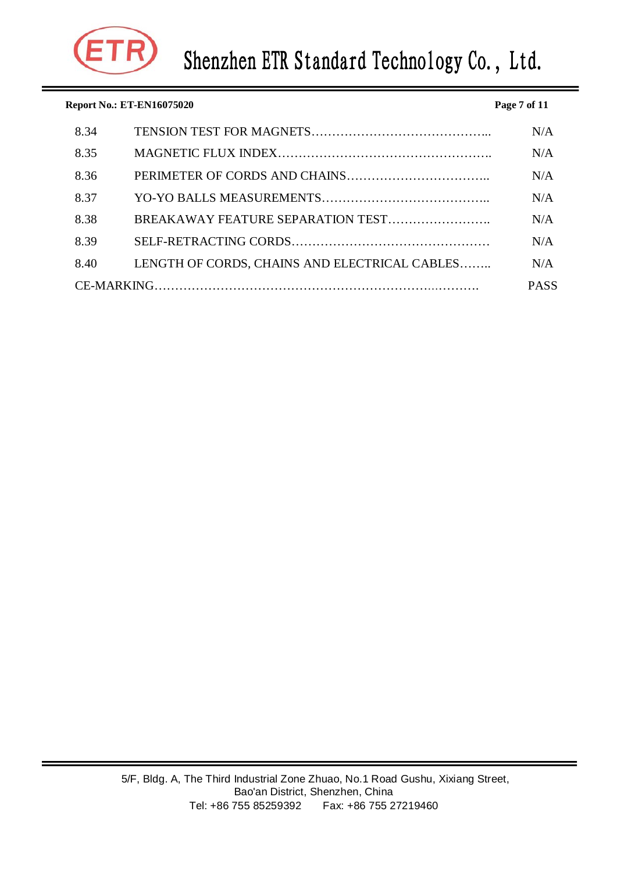

| <b>Report No.: ET-EN16075020</b><br>Page 7 of 11 |      |                                               |     |  |
|--------------------------------------------------|------|-----------------------------------------------|-----|--|
|                                                  | 8.34 |                                               | N/A |  |
|                                                  | 8.35 |                                               | N/A |  |
|                                                  | 8.36 |                                               | N/A |  |
|                                                  | 8.37 |                                               | N/A |  |
|                                                  | 8.38 |                                               | N/A |  |
|                                                  | 8.39 |                                               | N/A |  |
|                                                  | 8.40 | LENGTH OF CORDS, CHAINS AND ELECTRICAL CABLES | N/A |  |
|                                                  |      |                                               |     |  |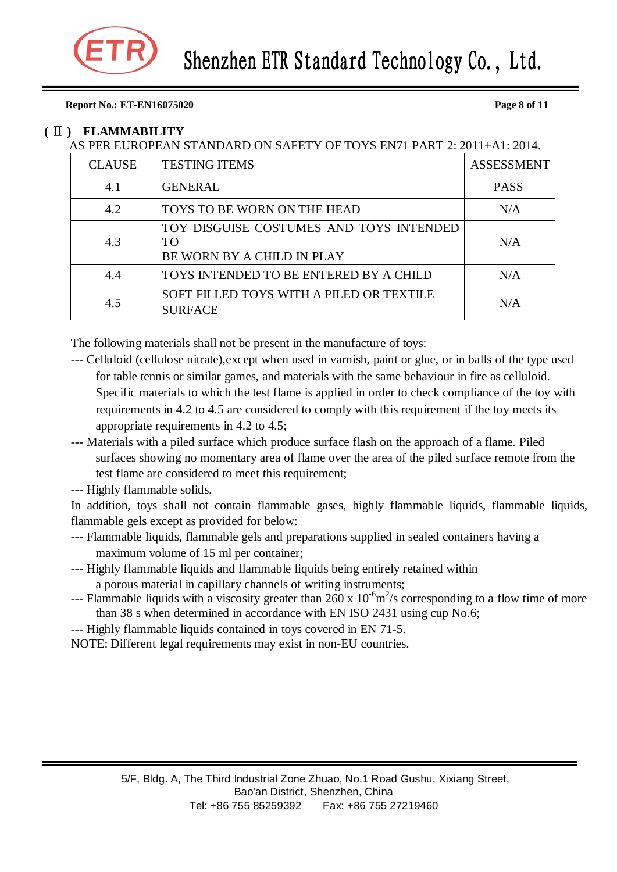#### **Report No.: ET-EN16075020 Page 8 of 11**

#### **(** Ⅱ **) FLAMMABILITY**

### AS PER EUROPEAN STANDARD ON SAFETY OF TOYS EN71 PART 2: 2011+A1: 2014.

| <b>CLAUSE</b> | <b>TESTING ITEMS</b>                                                        | <b>ASSESSMENT</b> |
|---------------|-----------------------------------------------------------------------------|-------------------|
| 4.1           | <b>GENERAL</b>                                                              | <b>PASS</b>       |
| 4.2           | TOYS TO BE WORN ON THE HEAD                                                 | N/A               |
| 4.3           | TOY DISGUISE COSTUMES AND TOYS INTENDED<br>TO<br>BE WORN BY A CHILD IN PLAY | N/A               |
| 4.4           | TOYS INTENDED TO BE ENTERED BY A CHILD                                      | N/A               |
| 4.5           | SOFT FILLED TOYS WITH A PILED OR TEXTILE<br><b>SURFACE</b>                  | N/A               |

The following materials shall not be present in the manufacture of toys:

- --- Celluloid (cellulose nitrate),except when used in varnish, paint or glue, or in balls of the type used for table tennis or similar games, and materials with the same behaviour in fire as celluloid. Specific materials to which the test flame is applied in order to check compliance of the toy with requirements in 4.2 to 4.5 are considered to comply with this requirement if the toy meets its appropriate requirements in 4.2 to 4.5;
- --- Materials with a piled surface which produce surface flash on the approach of a flame. Piled surfaces showing no momentary area of flame over the area of the piled surface remote from the test flame are considered to meet this requirement;
- --- Highly flammable solids.

In addition, toys shall not contain flammable gases, highly flammable liquids, flammable liquids, flammable gels except as provided for below:

- --- Flammable liquids, flammable gels and preparations supplied in sealed containers having a maximum volume of 15 ml per container;
- --- Highly flammable liquids and flammable liquids being entirely retained within a porous material in capillary channels of writing instruments;
- --- Flammable liquids with a viscosity greater than  $260 \times 10^{-6}$  m<sup>2</sup>/s corresponding to a flow time of more than 38 s when determined in accordance with EN ISO 2431 using cup No.6;
- --- Highly flammable liquids contained in toys covered in EN 71-5.
- NOTE: Different legal requirements may exist in non-EU countries.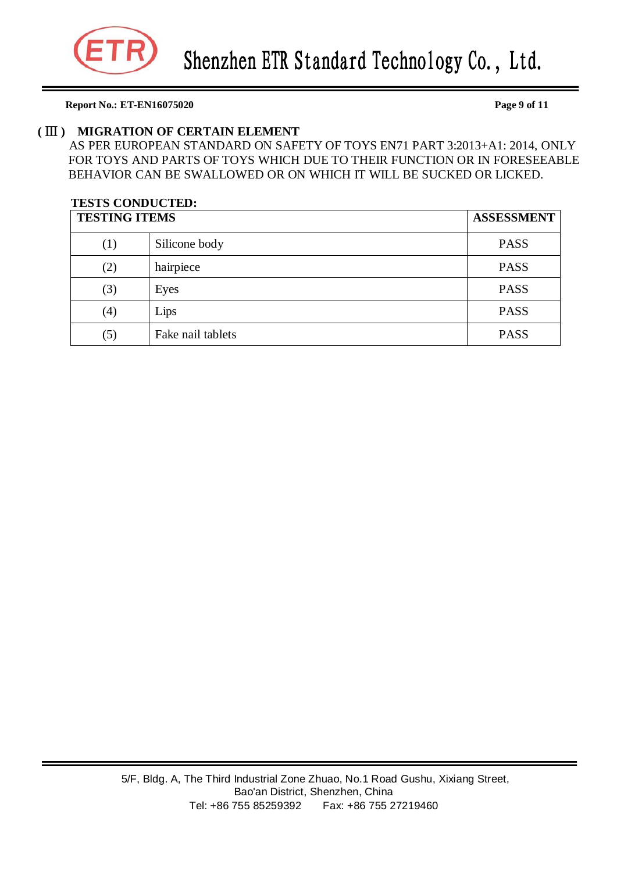

#### **Report No.: ET-EN16075020 Page 9 of 11**

#### **(** Ⅲ **) MIGRATION OF CERTAIN ELEMENT**

AS PER EUROPEAN STANDARD ON SAFETY OF TOYS EN71 PART 3:2013+A1: 2014, ONLY FOR TOYS AND PARTS OF TOYS WHICH DUE TO THEIR FUNCTION OR IN FORESEEABLE BEHAVIOR CAN BE SWALLOWED OR ON WHICH IT WILL BE SUCKED OR LICKED.

### **TESTS CONDUCTED: TESTING ITEMS ASSESSMENT** (1) Silicone body PASS (2) hairpiece PASS (3) Eyes PASS (4) Lips PASS (5) Fake nail tablets PASS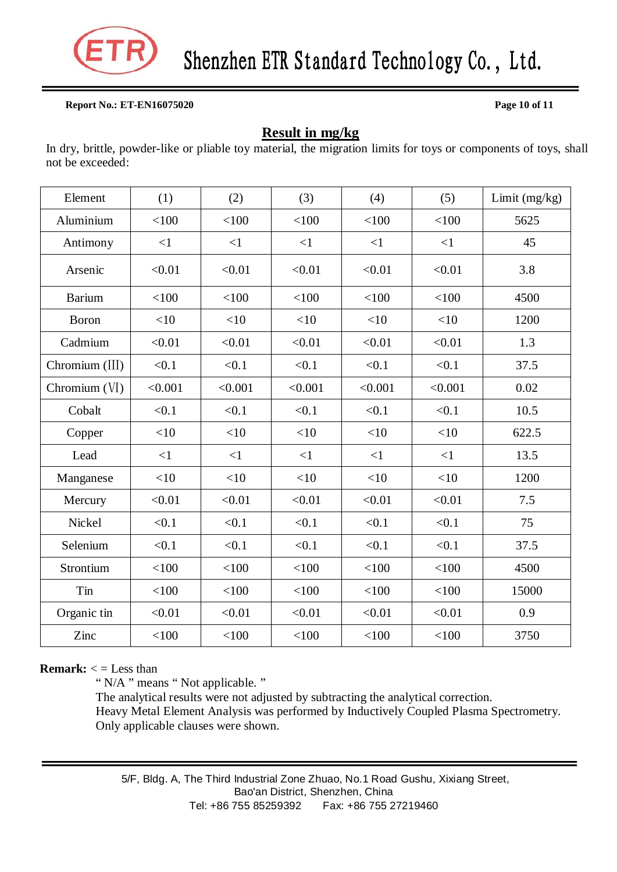

#### **Report No.: ET-EN16075020 Page 10 of 11**

### **Result in mg/kg**

In dry, brittle, powder-like or pliable toy material, the migration limits for toys or components of toys, shall not be exceeded:

| Element        | (1)      | (2)      | (3)      | (4)     | (5)      | Limit (mg/kg) |
|----------------|----------|----------|----------|---------|----------|---------------|
| Aluminium      | < 100    | < 100    | < 100    | < 100   | < 100    | 5625          |
| Antimony       | $\leq$ 1 | <1       | $\leq$ 1 | <1      | $\leq$ 1 | 45            |
| Arsenic        | < 0.01   | < 0.01   | < 0.01   | < 0.01  | < 0.01   | 3.8           |
| <b>Barium</b>  | < 100    | < 100    | < 100    | < 100   | < 100    | 4500          |
| Boron          | <10      | <10      | <10      | <10     | <10      | 1200          |
| Cadmium        | < 0.01   | < 0.01   | < 0.01   | < 0.01  | < 0.01   | 1.3           |
| Chromium (III) | < 0.1    | < 0.1    | < 0.1    | < 0.1   | < 0.1    | 37.5          |
| Chromium (VI)  | < 0.001  | < 0.001  | < 0.001  | < 0.001 | < 0.001  | 0.02          |
| Cobalt         | < 0.1    | < 0.1    | < 0.1    | < 0.1   | < 0.1    | 10.5          |
| Copper         | $<$ 10   | $<$ 10   | $<$ 10   | <10     | $<$ 10   | 622.5         |
| Lead           | $\leq$ 1 | $\leq$ 1 | <1       | <1      | $\leq$ 1 | 13.5          |
| Manganese      | <10      | <10      | <10      | $<$ 10  | <10      | 1200          |
| Mercury        | < 0.01   | < 0.01   | < 0.01   | < 0.01  | < 0.01   | 7.5           |
| Nickel         | < 0.1    | < 0.1    | < 0.1    | < 0.1   | < 0.1    | 75            |
| Selenium       | < 0.1    | < 0.1    | < 0.1    | < 0.1   | < 0.1    | 37.5          |
| Strontium      | < 100    | < 100    | < 100    | < 100   | < 100    | 4500          |
| Tin            | < 100    | < 100    | < 100    | < 100   | < 100    | 15000         |
| Organic tin    | < 0.01   | < 0.01   | < 0.01   | < 0.01  | < 0.01   | 0.9           |
| Zinc           | < 100    | < 100    | < 100    | < 100   | < 100    | 3750          |

#### **Remark:**  $\lt$  = Less than

" N/A " means " Not applicable. "

The analytical results were not adjusted by subtracting the analytical correction. Heavy Metal Element Analysis was performed by Inductively Coupled Plasma Spectrometry. Only applicable clauses were shown.